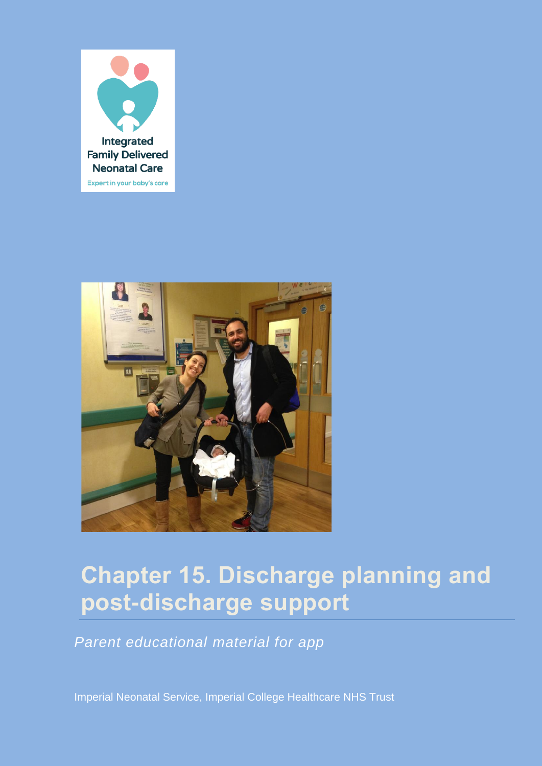



# **Chapter 15. Discharge planning and post-discharge support**

*Parent educational material for app*

Imperial Neonatal Service, Imperial College Healthcare NHS Trust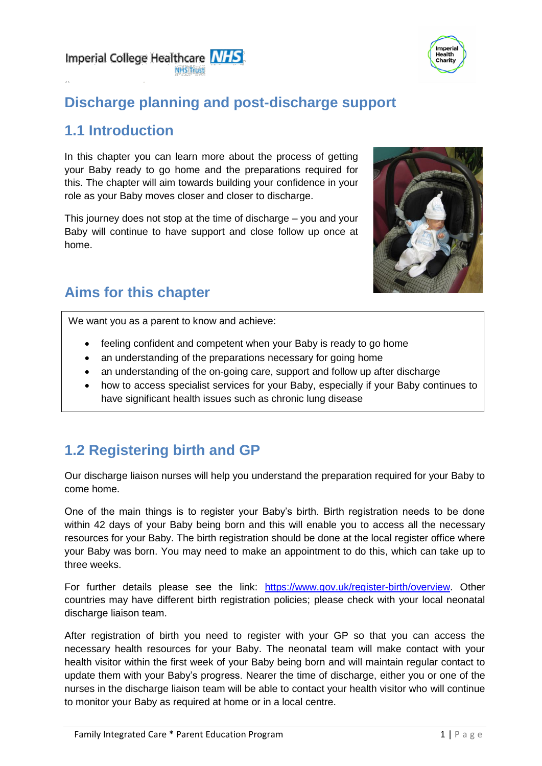



## **Discharge planning and post-discharge support**

### **1.1 Introduction**

In this chapter you can learn more about the process of getting your Baby ready to go home and the preparations required for this. The chapter will aim towards building your confidence in your role as your Baby moves closer and closer to discharge.

This journey does not stop at the time of discharge – you and your Baby will continue to have support and close follow up once at home.



# **Aims for this chapter**

We want you as a parent to know and achieve:

- feeling confident and competent when your Baby is ready to go home
- an understanding of the preparations necessary for going home
- an understanding of the on-going care, support and follow up after discharge
- how to access specialist services for your Baby, especially if your Baby continues to have significant health issues such as chronic lung disease

# **1.2 Registering birth and GP**

Our discharge liaison nurses will help you understand the preparation required for your Baby to come home.

One of the main things is to register your Baby's birth. Birth registration needs to be done within 42 days of your Baby being born and this will enable you to access all the necessary resources for your Baby. The birth registration should be done at the local register office where your Baby was born. You may need to make an appointment to do this, which can take up to three weeks.

For further details please see the link: [https://www.gov.uk/register-birth/overview.](https://www.gov.uk/register-birth/overview) Other countries may have different birth registration policies; please check with your local neonatal discharge liaison team.

After registration of birth you need to register with your GP so that you can access the necessary health resources for your Baby. The neonatal team will make contact with your health visitor within the first week of your Baby being born and will maintain regular contact to update them with your Baby's progress. Nearer the time of discharge, either you or one of the nurses in the discharge liaison team will be able to contact your health visitor who will continue to monitor your Baby as required at home or in a local centre.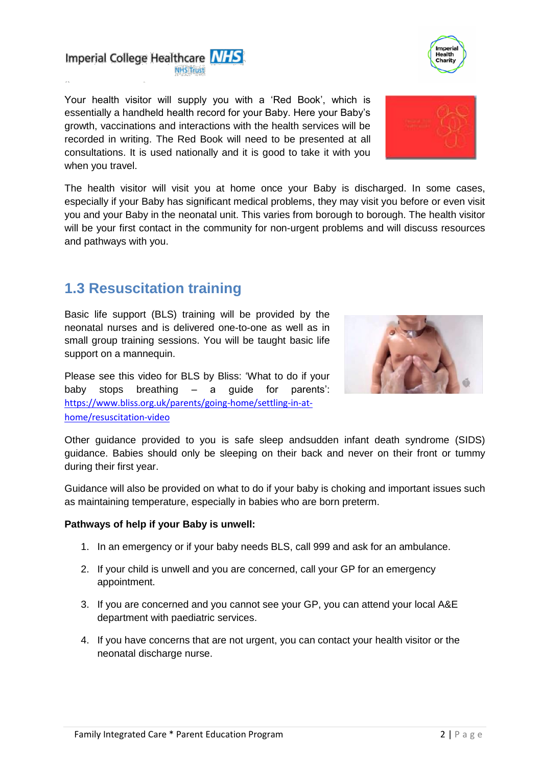Your health visitor will supply you with a 'Red Book', which is essentially a handheld health record for your Baby. Here your Baby's growth, vaccinations and interactions with the health services will be recorded in writing. The Red Book will need to be presented at all consultations. It is used nationally and it is good to take it with you when you travel.

The health visitor will visit you at home once your Baby is discharged. In some cases, especially if your Baby has significant medical problems, they may visit you before or even visit you and your Baby in the neonatal unit. This varies from borough to borough. The health visitor will be your first contact in the community for non-urgent problems and will discuss resources and pathways with you.

# **1.3 Resuscitation training**

Basic life support (BLS) training will be provided by the neonatal nurses and is delivered one-to-one as well as in small group training sessions. You will be taught basic life support on a mannequin.

Please see this video for BLS by Bliss: 'What to do if your baby stops breathing – a guide for parents': [https://www.bliss.org.uk/parents/going-home/settling-in-at](https://www.bliss.org.uk/parents/going-home/settling-in-at-home/resuscitation-video)[home/resuscitation-video](https://www.bliss.org.uk/parents/going-home/settling-in-at-home/resuscitation-video)

Other guidance provided to you is safe sleep andsudden infant death syndrome (SIDS) guidance. Babies should only be sleeping on their back and never on their front or tummy during their first year.

Guidance will also be provided on what to do if your baby is choking and important issues such as maintaining temperature, especially in babies who are born preterm.

#### **Pathways of help if your Baby is unwell:**

- 1. In an emergency or if your baby needs BLS, call 999 and ask for an ambulance.
- 2. If your child is unwell and you are concerned, call your GP for an emergency appointment.
- 3. If you are concerned and you cannot see your GP, you can attend your local A&E department with paediatric services.
- 4. If you have concerns that are not urgent, you can contact your health visitor or the neonatal discharge nurse.







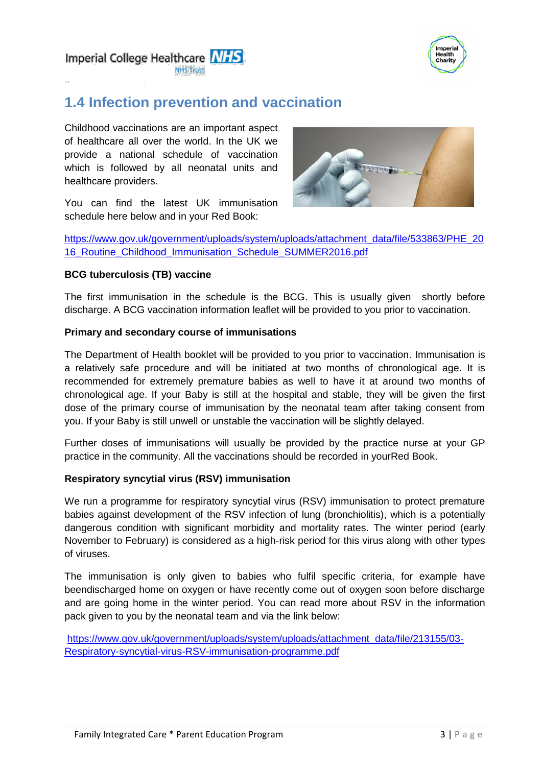

Imperial College Healthcare NHS

# **1.4 Infection prevention and vaccination**

Childhood vaccinations are an important aspect of healthcare all over the world. In the UK we provide a national schedule of vaccination which is followed by all neonatal units and healthcare providers.





[https://www.gov.uk/government/uploads/system/uploads/attachment\\_data/file/533863/PHE\\_20](https://www.gov.uk/government/uploads/system/uploads/attachment_data/file/533863/PHE_2016_Routine_Childhood_Immunisation_Schedule_SUMMER2016.pdf) [16\\_Routine\\_Childhood\\_Immunisation\\_Schedule\\_SUMMER2016.pdf](https://www.gov.uk/government/uploads/system/uploads/attachment_data/file/533863/PHE_2016_Routine_Childhood_Immunisation_Schedule_SUMMER2016.pdf)

#### **BCG tuberculosis (TB) vaccine**

The first immunisation in the schedule is the BCG. This is usually given shortly before discharge. A BCG vaccination information leaflet will be provided to you prior to vaccination.

#### **Primary and secondary course of immunisations**

The Department of Health booklet will be provided to you prior to vaccination. Immunisation is a relatively safe procedure and will be initiated at two months of chronological age. It is recommended for extremely premature babies as well to have it at around two months of chronological age. If your Baby is still at the hospital and stable, they will be given the first dose of the primary course of immunisation by the neonatal team after taking consent from you. If your Baby is still unwell or unstable the vaccination will be slightly delayed.

Further doses of immunisations will usually be provided by the practice nurse at your GP practice in the community. All the vaccinations should be recorded in yourRed Book.

#### **Respiratory syncytial virus (RSV) immunisation**

We run a programme for respiratory syncytial virus (RSV) immunisation to protect premature babies against development of the RSV infection of lung (bronchiolitis), which is a potentially dangerous condition with significant morbidity and mortality rates. The winter period (early November to February) is considered as a high-risk period for this virus along with other types of viruses.

The immunisation is only given to babies who fulfil specific criteria, for example have beendischarged home on oxygen or have recently come out of oxygen soon before discharge and are going home in the winter period. You can read more about RSV in the information pack given to you by the neonatal team and via the link below:

[https://www.gov.uk/government/uploads/system/uploads/attachment\\_data/file/213155/03-](https://www.gov.uk/government/uploads/system/uploads/attachment_data/file/213155/03-Respiratory-syncytial-virus-RSV-immunisation-programme.pdf) [Respiratory-syncytial-virus-RSV-immunisation-programme.pdf](https://www.gov.uk/government/uploads/system/uploads/attachment_data/file/213155/03-Respiratory-syncytial-virus-RSV-immunisation-programme.pdf)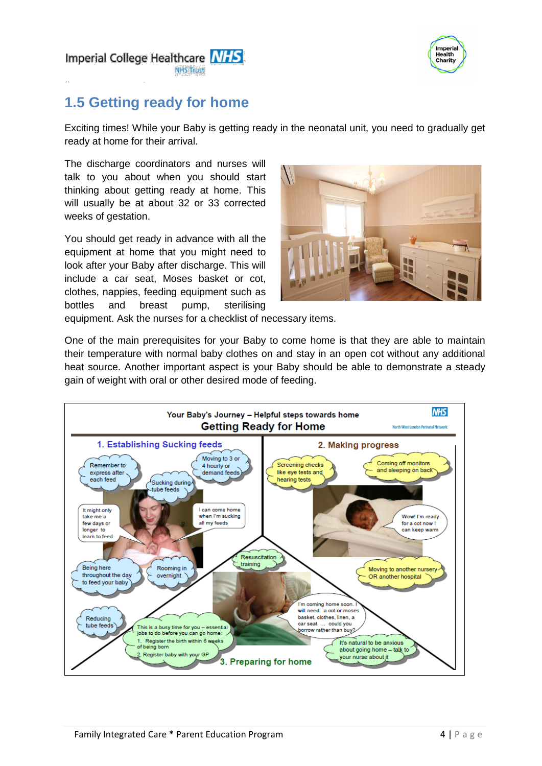

Imperial College Healthcare NHS MILIC Terre

# **1.5 Getting ready for home**

Exciting times! While your Baby is getting ready in the neonatal unit, you need to gradually get ready at home for their arrival.

The discharge coordinators and nurses will talk to you about when you should start thinking about getting ready at home. This will usually be at about 32 or 33 corrected weeks of gestation.

You should get ready in advance with all the equipment at home that you might need to look after your Baby after discharge. This will include a car seat, Moses basket or cot, clothes, nappies, feeding equipment such as bottles and breast pump, sterilising



equipment. Ask the nurses for a checklist of necessary items.

One of the main prerequisites for your Baby to come home is that they are able to maintain their temperature with normal baby clothes on and stay in an open cot without any additional heat source. Another important aspect is your Baby should be able to demonstrate a steady gain of weight with oral or other desired mode of feeding.

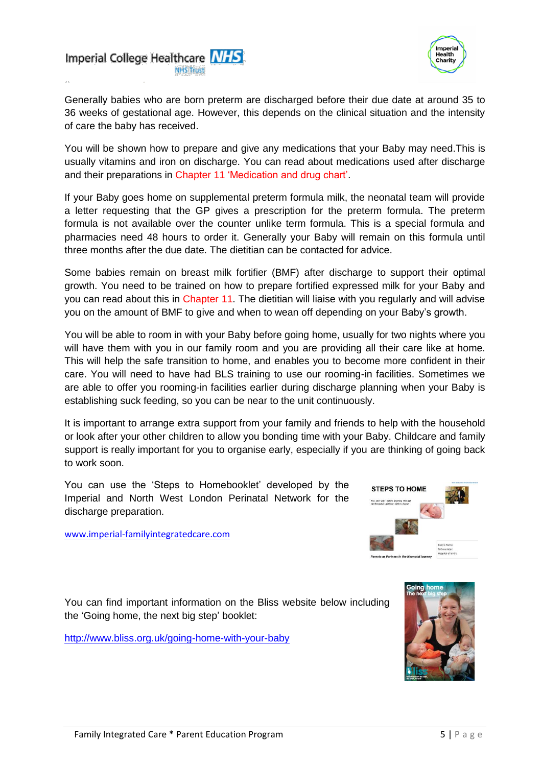



Generally babies who are born preterm are discharged before their due date at around 35 to 36 weeks of gestational age. However, this depends on the clinical situation and the intensity of care the baby has received.

You will be shown how to prepare and give any medications that your Baby may need.This is usually vitamins and iron on discharge. You can read about medications used after discharge and their preparations in Chapter 11 'Medication and drug chart'.

If your Baby goes home on supplemental preterm formula milk, the neonatal team will provide a letter requesting that the GP gives a prescription for the preterm formula. The preterm formula is not available over the counter unlike term formula. This is a special formula and pharmacies need 48 hours to order it. Generally your Baby will remain on this formula until three months after the due date. The dietitian can be contacted for advice.

Some babies remain on breast milk fortifier (BMF) after discharge to support their optimal growth. You need to be trained on how to prepare fortified expressed milk for your Baby and you can read about this in Chapter 11. The dietitian will liaise with you regularly and will advise you on the amount of BMF to give and when to wean off depending on your Baby's growth.

You will be able to room in with your Baby before going home, usually for two nights where you will have them with you in our family room and you are providing all their care like at home. This will help the safe transition to home, and enables you to become more confident in their care. You will need to have had BLS training to use our rooming-in facilities. Sometimes we are able to offer you rooming-in facilities earlier during discharge planning when your Baby is establishing suck feeding, so you can be near to the unit continuously.

It is important to arrange extra support from your family and friends to help with the household or look after your other children to allow you bonding time with your Baby. Childcare and family support is really important for you to organise early, especially if you are thinking of going back to work soon.

You can use the 'Steps to Homebooklet' developed by the Imperial and North West London Perinatal Network for the discharge preparation.



[www.imperial-familyintegratedcare.com](http://www.imperial-familyintegratedcare.com/)

You can find important information on the Bliss website below including the 'Going home, the next big step' booklet:

<http://www.bliss.org.uk/going-home-with-your-baby>

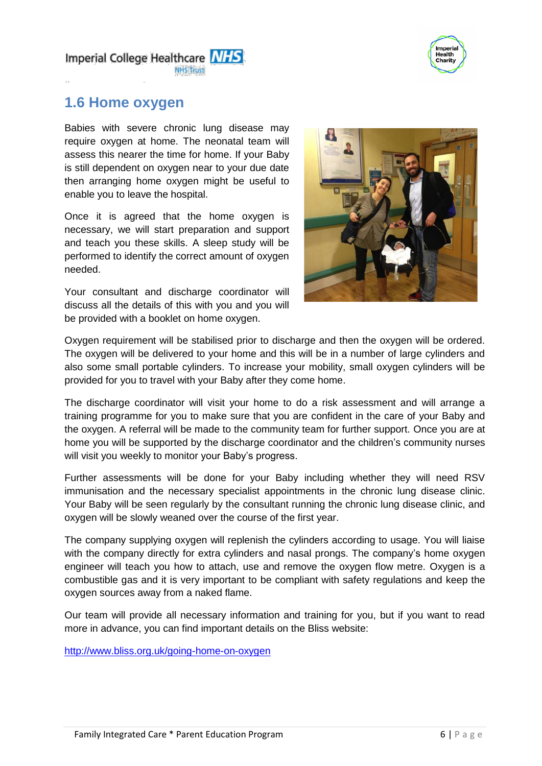

Imperial College Healthcare NHS **NIHS Truet** 

### **1.6 Home oxygen**

Babies with severe chronic lung disease may require oxygen at home. The neonatal team will assess this nearer the time for home. If your Baby is still dependent on oxygen near to your due date then arranging home oxygen might be useful to enable you to leave the hospital.

Once it is agreed that the home oxygen is necessary, we will start preparation and support and teach you these skills. A sleep study will be performed to identify the correct amount of oxygen needed.

Your consultant and discharge coordinator will discuss all the details of this with you and you will be provided with a booklet on home oxygen.



Oxygen requirement will be stabilised prior to discharge and then the oxygen will be ordered. The oxygen will be delivered to your home and this will be in a number of large cylinders and also some small portable cylinders. To increase your mobility, small oxygen cylinders will be provided for you to travel with your Baby after they come home.

The discharge coordinator will visit your home to do a risk assessment and will arrange a training programme for you to make sure that you are confident in the care of your Baby and the oxygen. A referral will be made to the community team for further support. Once you are at home you will be supported by the discharge coordinator and the children's community nurses will visit you weekly to monitor your Baby's progress.

Further assessments will be done for your Baby including whether they will need RSV immunisation and the necessary specialist appointments in the chronic lung disease clinic. Your Baby will be seen regularly by the consultant running the chronic lung disease clinic, and oxygen will be slowly weaned over the course of the first year.

The company supplying oxygen will replenish the cylinders according to usage. You will liaise with the company directly for extra cylinders and nasal prongs. The company's home oxygen engineer will teach you how to attach, use and remove the oxygen flow metre. Oxygen is a combustible gas and it is very important to be compliant with safety regulations and keep the oxygen sources away from a naked flame.

Our team will provide all necessary information and training for you, but if you want to read more in advance, you can find important details on the Bliss website:

<http://www.bliss.org.uk/going-home-on-oxygen>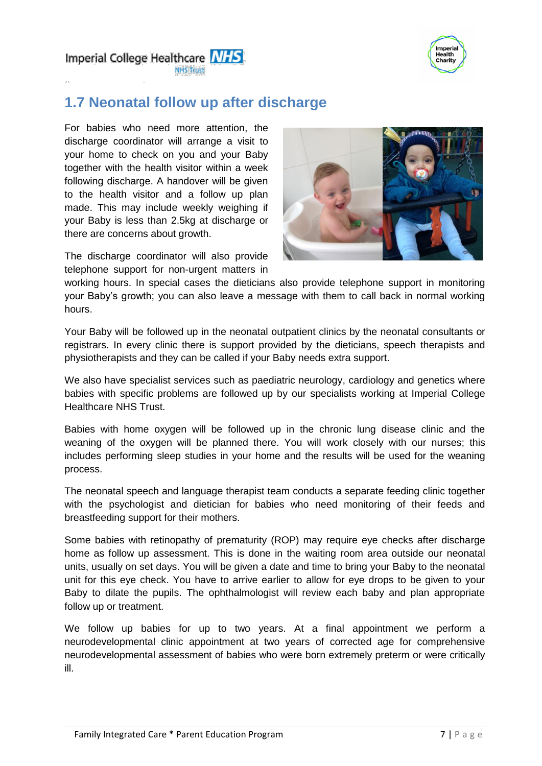

Imperial College Healthcare NHS

### **1.7 Neonatal follow up after discharge**

For babies who need more attention, the discharge coordinator will arrange a visit to your home to check on you and your Baby together with the health visitor within a week following discharge. A handover will be given to the health visitor and a follow up plan made. This may include weekly weighing if your Baby is less than 2.5kg at discharge or there are concerns about growth.

The discharge coordinator will also provide telephone support for non-urgent matters in



working hours. In special cases the dieticians also provide telephone support in monitoring your Baby's growth; you can also leave a message with them to call back in normal working hours.

Your Baby will be followed up in the neonatal outpatient clinics by the neonatal consultants or registrars. In every clinic there is support provided by the dieticians, speech therapists and physiotherapists and they can be called if your Baby needs extra support.

We also have specialist services such as paediatric neurology, cardiology and genetics where babies with specific problems are followed up by our specialists working at Imperial College Healthcare NHS Trust.

Babies with home oxygen will be followed up in the chronic lung disease clinic and the weaning of the oxygen will be planned there. You will work closely with our nurses; this includes performing sleep studies in your home and the results will be used for the weaning process.

The neonatal speech and language therapist team conducts a separate feeding clinic together with the psychologist and dietician for babies who need monitoring of their feeds and breastfeeding support for their mothers.

Some babies with retinopathy of prematurity (ROP) may require eye checks after discharge home as follow up assessment. This is done in the waiting room area outside our neonatal units, usually on set days. You will be given a date and time to bring your Baby to the neonatal unit for this eye check. You have to arrive earlier to allow for eye drops to be given to your Baby to dilate the pupils. The ophthalmologist will review each baby and plan appropriate follow up or treatment.

We follow up babies for up to two years. At a final appointment we perform a neurodevelopmental clinic appointment at two years of corrected age for comprehensive neurodevelopmental assessment of babies who were born extremely preterm or were critically ill.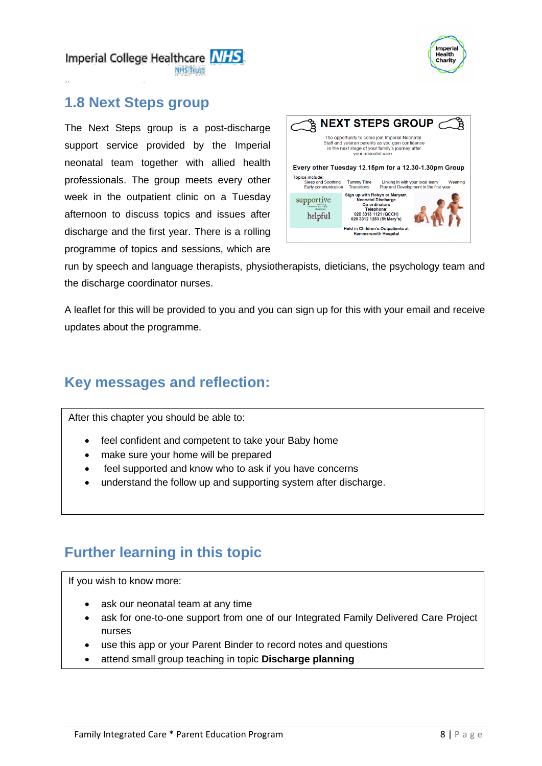

Imperial College Healthcare NHS

### **1.8 Next Steps group**

The Next Steps group is a post-discharge support service provided by the Imperial neonatal team together with allied health professionals. The group meets every other week in the outpatient clinic on a Tuesday afternoon to discuss topics and issues after discharge and the first year. There is a rolling programme of topics and sessions, which are



run by speech and language therapists, physiotherapists, dieticians, the psychology team and the discharge coordinator nurses.

A leaflet for this will be provided to you and you can sign up for this with your email and receive updates about the programme.

### **Key messages and reflection:**

After this chapter you should be able to:

- feel confident and competent to take your Baby home
- make sure your home will be prepared
- feel supported and know who to ask if you have concerns
- understand the follow up and supporting system after discharge.

## **Further learning in this topic**

If you wish to know more:

Ξ

- ask our neonatal team at any time
- ask for one-to-one support from one of our Integrated Family Delivered Care Project nurses
- use this app or your Parent Binder to record notes and questions
- attend small group teaching in topic **Discharge planning**